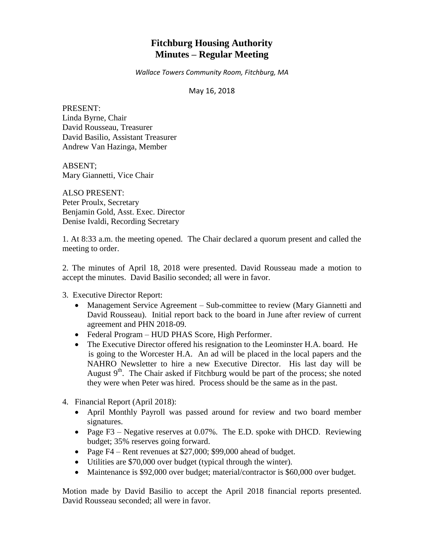# **Fitchburg Housing Authority Minutes – Regular Meeting**

*Wallace Towers Community Room, Fitchburg, MA*

### May 16, 2018

PRESENT: Linda Byrne, Chair David Rousseau, Treasurer David Basilio, Assistant Treasurer Andrew Van Hazinga, Member

ABSENT; Mary Giannetti, Vice Chair

ALSO PRESENT: Peter Proulx, Secretary Benjamin Gold, Asst. Exec. Director Denise Ivaldi, Recording Secretary

1. At 8:33 a.m. the meeting opened. The Chair declared a quorum present and called the meeting to order.

2. The minutes of April 18, 2018 were presented. David Rousseau made a motion to accept the minutes. David Basilio seconded; all were in favor.

3. Executive Director Report:

- Management Service Agreement Sub-committee to review (Mary Giannetti and David Rousseau). Initial report back to the board in June after review of current agreement and PHN 2018-09.
- Federal Program HUD PHAS Score, High Performer.
- The Executive Director offered his resignation to the Leominster H.A. board. He is going to the Worcester H.A. An ad will be placed in the local papers and the NAHRO Newsletter to hire a new Executive Director. His last day will be August  $9<sup>th</sup>$ . The Chair asked if Fitchburg would be part of the process; she noted they were when Peter was hired. Process should be the same as in the past.
- 4. Financial Report (April 2018):
	- April Monthly Payroll was passed around for review and two board member signatures.
	- Page F3 Negative reserves at  $0.07\%$ . The E.D. spoke with DHCD. Reviewing budget; 35% reserves going forward.
	- Page  $F4$  Rent revenues at \$27,000; \$99,000 ahead of budget.
	- Utilities are \$70,000 over budget (typical through the winter).
	- Maintenance is \$92,000 over budget; material/contractor is \$60,000 over budget.

Motion made by David Basilio to accept the April 2018 financial reports presented. David Rousseau seconded; all were in favor.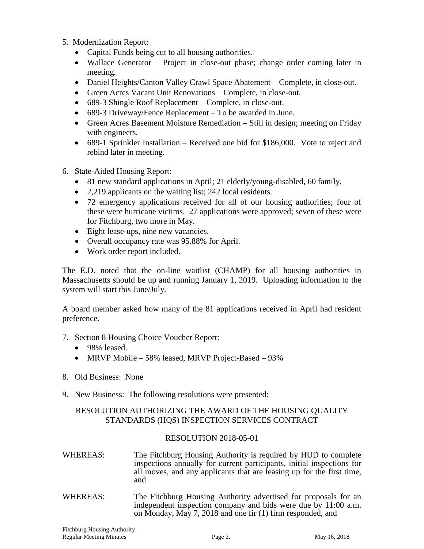- 5. Modernization Report:
	- Capital Funds being cut to all housing authorities.
	- Wallace Generator Project in close-out phase; change order coming later in meeting.
	- Daniel Heights/Canton Valley Crawl Space Abatement Complete, in close-out.
	- Green Acres Vacant Unit Renovations Complete, in close-out.
	- 689-3 Shingle Roof Replacement Complete, in close-out.
	- 689-3 Driveway/Fence Replacement To be awarded in June.
	- Green Acres Basement Moisture Remediation Still in design; meeting on Friday with engineers.
	- 689-1 Sprinkler Installation Received one bid for \$186,000. Vote to reject and rebind later in meeting.
- 6. State-Aided Housing Report:
	- 81 new standard applications in April; 21 elderly/young-disabled, 60 family.
	- 2,219 applicants on the waiting list; 242 local residents.
	- 72 emergency applications received for all of our housing authorities; four of these were hurricane victims. 27 applications were approved; seven of these were for Fitchburg, two more in May.
	- Eight lease-ups, nine new vacancies.
	- Overall occupancy rate was 95.88% for April.
	- Work order report included.

The E.D. noted that the on-line waitlist (CHAMP) for all housing authorities in Massachusetts should be up and running January 1, 2019. Uploading information to the system will start this June/July.

A board member asked how many of the 81 applications received in April had resident preference.

- 7. Section 8 Housing Choice Voucher Report:
	- 98% leased.
	- MRVP Mobile 58% leased, MRVP Project-Based 93%
- 8. Old Business: None
- 9. New Business: The following resolutions were presented:

# RESOLUTION AUTHORIZING THE AWARD OF THE HOUSING QUALITY STANDARDS (HQS) INSPECTION SERVICES CONTRACT

# RESOLUTION 2018-05-01

- WHEREAS: The Fitchburg Housing Authority is required by HUD to complete inspections annually for current participants, initial inspections for all moves, and any applicants that are leasing up for the first time, and
- WHEREAS: The Fitchburg Housing Authority advertised for proposals for an independent inspection company and bids were due by 11:00 a.m. on Monday, May 7, 2018 and one fir (1) firm responded, and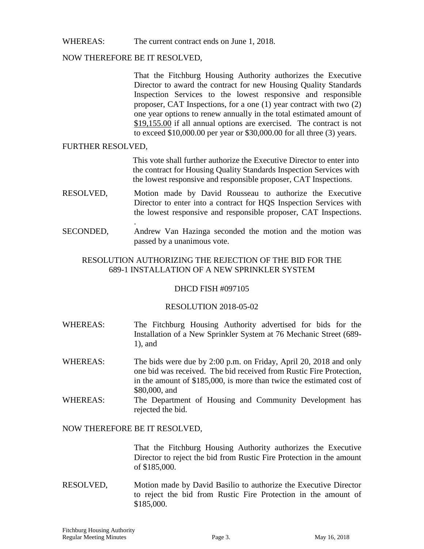# WHEREAS: The current contract ends on June 1, 2018.

### NOW THEREFORE BE IT RESOLVED,

.

That the Fitchburg Housing Authority authorizes the Executive Director to award the contract for new Housing Quality Standards Inspection Services to the lowest responsive and responsible proposer, CAT Inspections, for a one (1) year contract with two (2) one year options to renew annually in the total estimated amount of \$19,155.00 if all annual options are exercised. The contract is not to exceed \$10,000.00 per year or \$30,000.00 for all three (3) years.

### FURTHER RESOLVED,

This vote shall further authorize the Executive Director to enter into the contract for Housing Quality Standards Inspection Services with the lowest responsive and responsible proposer, CAT Inspections.

- RESOLVED, Motion made by David Rousseau to authorize the Executive Director to enter into a contract for HQS Inspection Services with the lowest responsive and responsible proposer, CAT Inspections.
- SECONDED, Andrew Van Hazinga seconded the motion and the motion was passed by a unanimous vote.

# RESOLUTION AUTHORIZING THE REJECTION OF THE BID FOR THE 689-1 INSTALLATION OF A NEW SPRINKLER SYSTEM

# DHCD FISH #097105

#### RESOLUTION 2018-05-02

- WHEREAS: The Fitchburg Housing Authority advertised for bids for the Installation of a New Sprinkler System at 76 Mechanic Street (689- 1), and
- WHEREAS: The bids were due by 2:00 p.m. on Friday, April 20, 2018 and only one bid was received. The bid received from Rustic Fire Protection, in the amount of \$185,000, is more than twice the estimated cost of \$80,000, and
- WHEREAS: The Department of Housing and Community Development has rejected the bid.

#### NOW THEREFORE BE IT RESOLVED,

That the Fitchburg Housing Authority authorizes the Executive Director to reject the bid from Rustic Fire Protection in the amount of \$185,000.

RESOLVED, Motion made by David Basilio to authorize the Executive Director to reject the bid from Rustic Fire Protection in the amount of \$185,000.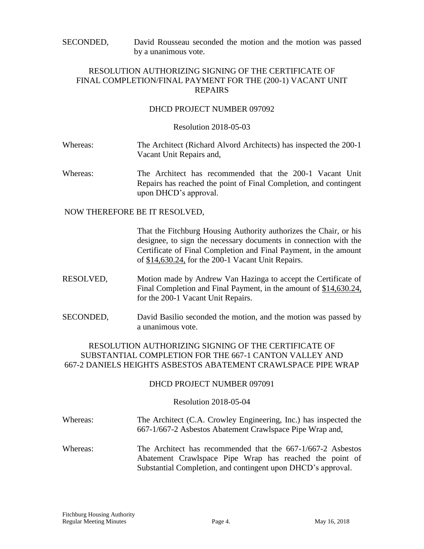SECONDED, David Rousseau seconded the motion and the motion was passed by a unanimous vote.

# RESOLUTION AUTHORIZING SIGNING OF THE CERTIFICATE OF FINAL COMPLETION/FINAL PAYMENT FOR THE (200-1) VACANT UNIT REPAIRS

# DHCD PROJECT NUMBER 097092

#### Resolution 2018-05-03

- Whereas: The Architect (Richard Alvord Architects) has inspected the 200-1 Vacant Unit Repairs and,
- Whereas: The Architect has recommended that the 200-1 Vacant Unit Repairs has reached the point of Final Completion, and contingent upon DHCD's approval.

NOW THEREFORE BE IT RESOLVED,

That the Fitchburg Housing Authority authorizes the Chair, or his designee, to sign the necessary documents in connection with the Certificate of Final Completion and Final Payment, in the amount of \$14,630.24, for the 200-1 Vacant Unit Repairs.

- RESOLVED, Motion made by Andrew Van Hazinga to accept the Certificate of Final Completion and Final Payment, in the amount of \$14,630.24, for the 200-1 Vacant Unit Repairs.
- SECONDED, David Basilio seconded the motion, and the motion was passed by a unanimous vote.

# RESOLUTION AUTHORIZING SIGNING OF THE CERTIFICATE OF SUBSTANTIAL COMPLETION FOR THE 667-1 CANTON VALLEY AND 667-2 DANIELS HEIGHTS ASBESTOS ABATEMENT CRAWLSPACE PIPE WRAP

#### DHCD PROJECT NUMBER 097091

#### Resolution 2018-05-04

- Whereas: The Architect (C.A. Crowley Engineering, Inc.) has inspected the 667-1/667-2 Asbestos Abatement Crawlspace Pipe Wrap and,
- Whereas: The Architect has recommended that the 667-1/667-2 Asbestos Abatement Crawlspace Pipe Wrap has reached the point of Substantial Completion, and contingent upon DHCD's approval.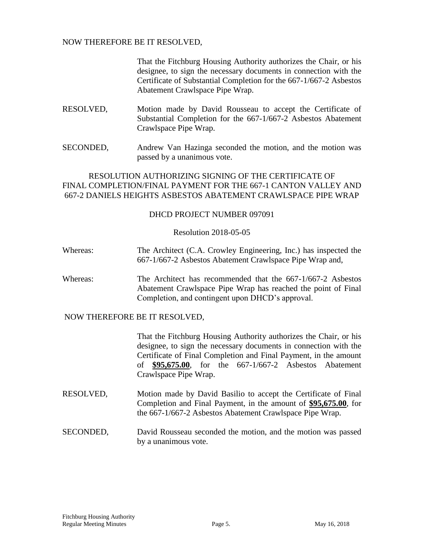# NOW THEREFORE BE IT RESOLVED,

That the Fitchburg Housing Authority authorizes the Chair, or his designee, to sign the necessary documents in connection with the Certificate of Substantial Completion for the 667-1/667-2 Asbestos Abatement Crawlspace Pipe Wrap.

- RESOLVED, Motion made by David Rousseau to accept the Certificate of Substantial Completion for the 667-1/667-2 Asbestos Abatement Crawlspace Pipe Wrap.
- SECONDED, Andrew Van Hazinga seconded the motion, and the motion was passed by a unanimous vote.

# RESOLUTION AUTHORIZING SIGNING OF THE CERTIFICATE OF FINAL COMPLETION/FINAL PAYMENT FOR THE 667-1 CANTON VALLEY AND 667-2 DANIELS HEIGHTS ASBESTOS ABATEMENT CRAWLSPACE PIPE WRAP

### DHCD PROJECT NUMBER 097091

### Resolution 2018-05-05

- Whereas: The Architect (C.A. Crowley Engineering, Inc.) has inspected the 667-1/667-2 Asbestos Abatement Crawlspace Pipe Wrap and,
- Whereas: The Architect has recommended that the 667-1/667-2 Asbestos Abatement Crawlspace Pipe Wrap has reached the point of Final Completion, and contingent upon DHCD's approval.

# NOW THEREFORE BE IT RESOLVED,

That the Fitchburg Housing Authority authorizes the Chair, or his designee, to sign the necessary documents in connection with the Certificate of Final Completion and Final Payment, in the amount of **\$95,675.00**, for the 667-1/667-2 Asbestos Abatement Crawlspace Pipe Wrap.

- RESOLVED, Motion made by David Basilio to accept the Certificate of Final Completion and Final Payment, in the amount of **\$95,675.00**, for the 667-1/667-2 Asbestos Abatement Crawlspace Pipe Wrap.
- SECONDED, David Rousseau seconded the motion, and the motion was passed by a unanimous vote.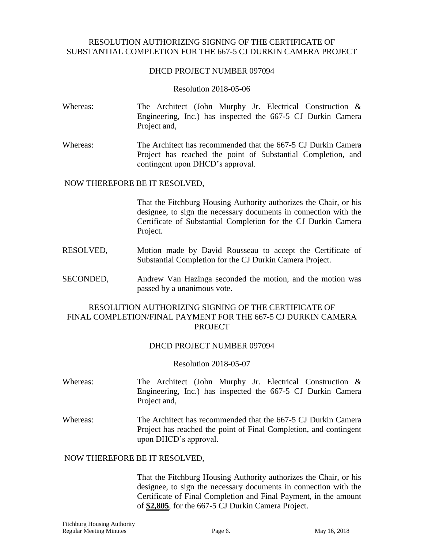# RESOLUTION AUTHORIZING SIGNING OF THE CERTIFICATE OF SUBSTANTIAL COMPLETION FOR THE 667-5 CJ DURKIN CAMERA PROJECT

# DHCD PROJECT NUMBER 097094

#### Resolution 2018-05-06

- Whereas: The Architect (John Murphy Jr. Electrical Construction & Engineering, Inc.) has inspected the 667-5 CJ Durkin Camera Project and,
- Whereas: The Architect has recommended that the 667-5 CJ Durkin Camera Project has reached the point of Substantial Completion, and contingent upon DHCD's approval.

### NOW THEREFORE BE IT RESOLVED,

That the Fitchburg Housing Authority authorizes the Chair, or his designee, to sign the necessary documents in connection with the Certificate of Substantial Completion for the CJ Durkin Camera Project.

- RESOLVED, Motion made by David Rousseau to accept the Certificate of Substantial Completion for the CJ Durkin Camera Project.
- SECONDED, Andrew Van Hazinga seconded the motion, and the motion was passed by a unanimous vote.

# RESOLUTION AUTHORIZING SIGNING OF THE CERTIFICATE OF FINAL COMPLETION/FINAL PAYMENT FOR THE 667-5 CJ DURKIN CAMERA PROJECT

#### DHCD PROJECT NUMBER 097094

#### Resolution 2018-05-07

- Whereas: The Architect (John Murphy Jr. Electrical Construction & Engineering, Inc.) has inspected the 667-5 CJ Durkin Camera Project and,
- Whereas: The Architect has recommended that the 667-5 CJ Durkin Camera Project has reached the point of Final Completion, and contingent upon DHCD's approval.

# NOW THEREFORE BE IT RESOLVED,

That the Fitchburg Housing Authority authorizes the Chair, or his designee, to sign the necessary documents in connection with the Certificate of Final Completion and Final Payment, in the amount of **\$2,805**, for the 667-5 CJ Durkin Camera Project.